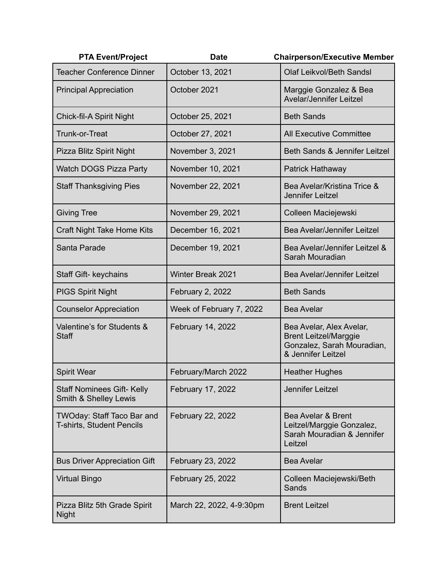| <b>PTA Event/Project</b>                                       | <b>Date</b>              | <b>Chairperson/Executive Member</b>                                                                          |
|----------------------------------------------------------------|--------------------------|--------------------------------------------------------------------------------------------------------------|
| <b>Teacher Conference Dinner</b>                               | October 13, 2021         | Olaf Leikvol/Beth Sandsl                                                                                     |
| <b>Principal Appreciation</b>                                  | October 2021             | Marggie Gonzalez & Bea<br><b>Avelar/Jennifer Leitzel</b>                                                     |
| Chick-fil-A Spirit Night                                       | October 25, 2021         | <b>Beth Sands</b>                                                                                            |
| Trunk-or-Treat                                                 | October 27, 2021         | <b>All Executive Committee</b>                                                                               |
| Pizza Blitz Spirit Night                                       | November 3, 2021         | Beth Sands & Jennifer Leitzel                                                                                |
| <b>Watch DOGS Pizza Party</b>                                  | November 10, 2021        | Patrick Hathaway                                                                                             |
| <b>Staff Thanksgiving Pies</b>                                 | November 22, 2021        | Bea Avelar/Kristina Trice &<br><b>Jennifer Leitzel</b>                                                       |
| <b>Giving Tree</b>                                             | November 29, 2021        | Colleen Maciejewski                                                                                          |
| Craft Night Take Home Kits                                     | December 16, 2021        | Bea Avelar/Jennifer Leitzel                                                                                  |
| Santa Parade                                                   | December 19, 2021        | Bea Avelar/Jennifer Leitzel &<br>Sarah Mouradian                                                             |
| Staff Gift- keychains                                          | <b>Winter Break 2021</b> | Bea Avelar/Jennifer Leitzel                                                                                  |
| <b>PIGS Spirit Night</b>                                       | February 2, 2022         | <b>Beth Sands</b>                                                                                            |
| <b>Counselor Appreciation</b>                                  | Week of February 7, 2022 | <b>Bea Avelar</b>                                                                                            |
| Valentine's for Students &<br><b>Staff</b>                     | February 14, 2022        | Bea Avelar, Alex Avelar,<br><b>Brent Leitzel/Marggie</b><br>Gonzalez, Sarah Mouradian,<br>& Jennifer Leitzel |
| <b>Spirit Wear</b>                                             | February/March 2022      | <b>Heather Hughes</b>                                                                                        |
| <b>Staff Nominees Gift- Kelly</b><br>Smith & Shelley Lewis     | February 17, 2022        | Jennifer Leitzel                                                                                             |
| TWOday: Staff Taco Bar and<br><b>T-shirts, Student Pencils</b> | February 22, 2022        | Bea Avelar & Brent<br>Leitzel/Marggie Gonzalez,<br>Sarah Mouradian & Jennifer<br>Leitzel                     |
| <b>Bus Driver Appreciation Gift</b>                            | February 23, 2022        | <b>Bea Avelar</b>                                                                                            |
| <b>Virtual Bingo</b>                                           | February 25, 2022        | Colleen Maciejewski/Beth<br>Sands                                                                            |
| Pizza Blitz 5th Grade Spirit<br><b>Night</b>                   | March 22, 2022, 4-9:30pm | <b>Brent Leitzel</b>                                                                                         |